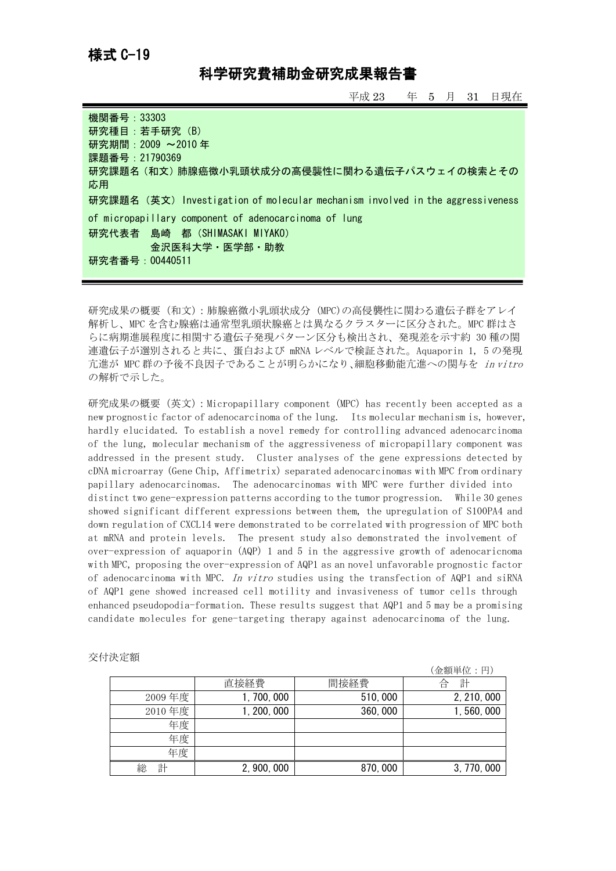## 様式 C-19

## 科学研究費補助金研究成果報告書

平成 23 年 5 月 31 日現在

| 機関番号:33303                                                                     |
|--------------------------------------------------------------------------------|
| 研究種目:若手研究 (B)                                                                  |
| 研究期間: 2009 ~2010年                                                              |
| 課題番号: 21790369                                                                 |
| 研究課題名 (和文) 肺腺癌微小乳頭状成分の高侵襲性に関わる遺伝子パスウェイの検索とその                                   |
| 応用                                                                             |
| 研究課題名 (英文) Investigation of molecular mechanism involved in the aggressiveness |
| of micropapillary component of adenocarcinoma of lung                          |
| 研究代表者 島崎 都 (SHIMASAKI MIYAKO)                                                  |
| 金沢医科大学・医学部・助教                                                                  |
| 研究者番号:00440511                                                                 |
|                                                                                |

研究成果の概要(和文):肺腺癌微小乳頭状成分 (MPC)の高侵襲性に関わる遺伝子群をアレイ 解析し、MPC を含む腺癌は通常型乳頭状腺癌とは異なるクラスターに区分された。MPC 群はさ らに病期進展程度に相関する遺伝子発現パターン区分も検出され、発現差を示す約 30 種の関 連遺伝子が選別されると共に、蛋白および mRNA レベルで検証された。Aquaporin 1, 5 の発現 亢進が MPC 群の予後不良因子であることが明らかになり、細胞移動能亢進への関与を in vitro の解析で示した。

研究成果の概要(英文):Micropapillary component (MPC) has recently been accepted as a new prognostic factor of adenocarcinoma of the lung. Its molecular mechanism is, however, hardly elucidated. To establish a novel remedy for controlling advanced adenocarcinoma of the lung, molecular mechanism of the aggressiveness of micropapillary component was addressed in the present study. Cluster analyses of the gene expressions detected by cDNA microarray (Gene Chip, Affimetrix) separated adenocarcinomas with MPC from ordinary papillary adenocarcinomas. The adenocarcinomas with MPC were further divided into distinct two gene-expression patterns according to the tumor progression. While 30 genes showed significant different expressions between them, the upregulation of S100PA4 and down regulation of CXCL14 were demonstrated to be correlated with progression of MPC both at mRNA and protein levels. The present study also demonstrated the involvement of over-expression of aquaporin (AQP) 1 and 5 in the aggressive growth of adenocaricnoma with MPC, proposing the over-expression of AQP1 as an novel unfavorable prognostic factor of adenocarcinoma with MPC. In vitro studies using the transfection of AQP1 and siRNA of AQP1 gene showed increased cell motility and invasiveness of tumor cells through enhanced pseudopodia-formation. These results suggest that AQP1 and 5 may be a promising candidate molecules for gene-targeting therapy against adenocarcinoma of the lung.

|        |             |         | (金額単位:円)    |
|--------|-------------|---------|-------------|
|        | 直接経費        | 間接経費    | 計<br>合      |
| 2009年度 | 1, 700, 000 | 510,000 | 2, 210, 000 |
| 2010年度 | 1, 200, 000 | 360,000 | 1,560,000   |
| 年度     |             |         |             |
| 年度     |             |         |             |
| 年度     |             |         |             |
| 計<br>総 | 2, 900, 000 | 870,000 | 3, 770, 000 |

| 交付決定額 |  |
|-------|--|
|       |  |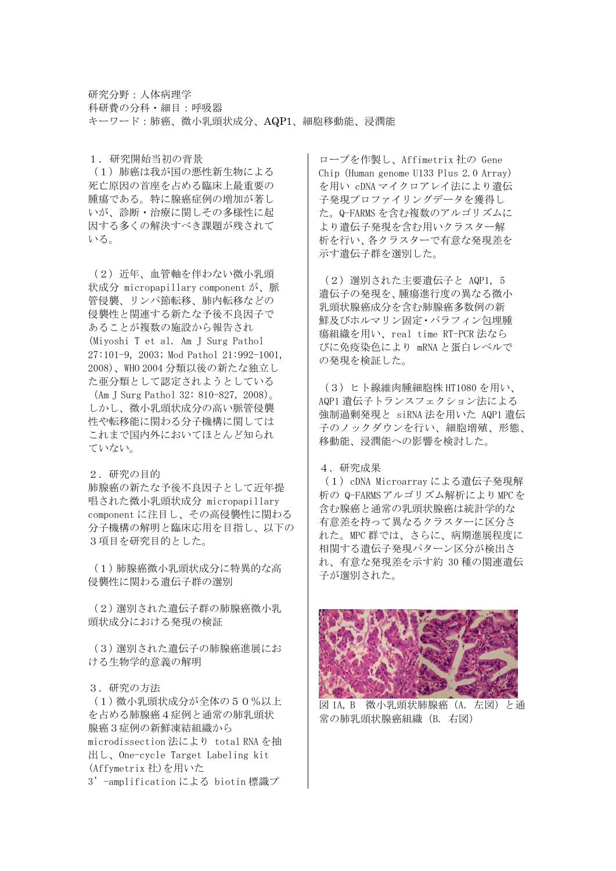研究分野:人体病理学 科研費の分科・細目:呼吸器 キーワード:肺癌、微小乳頭状成分、AQP1、細胞移動能、浸潤能

1.研究開始当初の背景

(1)肺癌は我が国の悪性新生物による 死亡原因の首座を占める臨床上最重要の 腫瘍である。特に腺癌症例の増加が著し いが、診断・治療に関しその多様性に起 因する多くの解決すべき課題が残されて いる。

(2)近年、血管軸を伴わない微小乳頭 状成分 micropapillary component が、脈 管侵襲、リンパ節転移、肺内転移などの 侵襲性と関連する新たな予後不良因子で あることが複数の施設から報告され (Miyoshi T et al. Am J Surg Pathol 27:101-9, 2003; Mod Pathol 21:992-1001, 2008)、WHO 2004 分類以後の新たな独立し た亜分類として認定されようとしている (Am J Surg Pathol 32: 810-827, 2008)。 しかし、微小乳頭状成分の高い脈管侵襲 性や転移能に関わる分子機構に関しては これまで国内外においてほとんど知られ ていない。

2.研究の目的 肺腺癌の新たな予後不良因子として近年提 唱された微小乳頭状成分 micropapillary component に注目し、その高侵襲性に関わる 分子機構の解明と臨床応用を目指し、以下の 3項目を研究目的とした。

(1)肺腺癌微小乳頭状成分に特異的な高 侵襲性に関わる遺伝子群の選別

(2)選別された遺伝子群の肺腺癌微小乳 頭状成分における発現の検証

(3)選別された遺伝子の肺腺癌進展にお ける生物学的意義の解明

3.研究の方法

(1)微小乳頭状成分が全体の50%以上 を占める肺腺癌4症例と通常の肺乳頭状 腺癌3症例の新鮮凍結組織から microdissection 法により total RNA を抽 出し、One-cycle Target Labeling kit (Affymetrix 社)を用いた

3'-amplification による biotin 標識プ

ローブを作製し、Affimetrix 社の Gene Chip (Human genome U133 Plus 2.0 Array) を用い cDNA マイクロアレイ法により遺伝 子発現プロファイリングデータを獲得し た。Q-FARMS を含む複数のアルゴリズムに より遺伝子発現を含む用いクラスター解 析を行い、各クラスターで有意な発現差を 示す遺伝子群を選別した。

(2)選別された主要遺伝子と AQP1, 5 遺伝子の発現を、腫瘍進行度の異なる微小 乳頭状腺癌成分を含む肺腺癌多数例の新 鮮及びホルマリン固定・パラフィン包埋腫 瘍組織を用い、real time RT-PCR 法なら びに免疫染色により mRNA と蛋白レベルで の発現を検証した。

(3)ヒト線維肉腫細胞株 HT1080 を用い、 AQP1 遺伝子トランスフェクション法による 強制過剰発現と siRNA 法を用いた AQP1 遺伝 子のノックダウンを行い、細胞増殖、形態、 移動能、浸潤能への影響を検討した。

4.研究成果

(1)cDNA Microarray による遺伝子発現解 析の Q-FARMSアルゴリズム解析によりMPCを 含む腺癌と通常の乳頭状腺癌は統計学的な 有意差を持って異なるクラスターに区分さ れた。MPC 群では、さらに、病期進展程度に 相関する遺伝子発現パターン区分が検出さ れ、有意な発現差を示す約 30 種の関連遺伝 子が選別された。



図 1A, B 微小乳頭状肺腺癌 (A. 左図) と通 常の肺乳頭状腺癌組織 (B. 右図)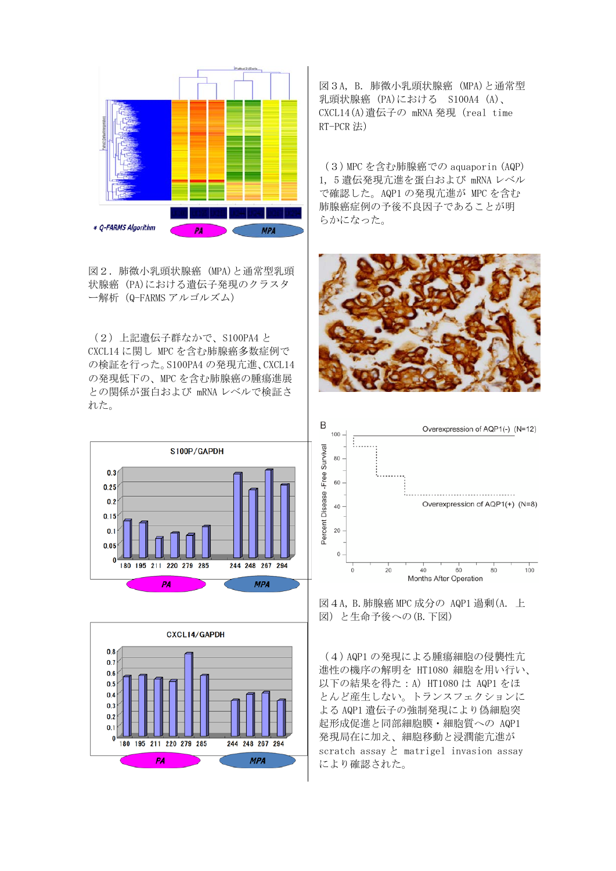

図2.肺微小乳頭状腺癌 (MPA)と通常型乳頭 状腺癌 (PA)における遺伝子発現のクラスタ ー解析(Q-FARMS アルゴルズム)

(2)上記遺伝子群なかで、S100PA4 と CXCL14 に関し MPC を含む肺腺癌多数症例で の検証を行った。S100PA4 の発現亢進、CXCL14 の発現低下の、MPC を含む肺腺癌の腫瘍進展 との関係が蛋白および mRNA レベルで検証さ れた。





図3A, B.肺微小乳頭状腺癌 (MPA)と通常型 乳頭状腺癌 (PA)における S100A4 (A)、 CXCL14(A)遺伝子の mRNA 発現(real time RT-PCR 法)

(3)MPC を含む肺腺癌での aquaporin (AQP) 1, 5 遺伝発現亢進を蛋白および mRNA レベル で確認した。AQP1 の発現亢進が MPC を含む 肺腺癌症例の予後不良因子であることが明 らかになった。





図4A, B.肺腺癌 MPC 成分の AQP1 過剰(A. 上 図)と生命予後への(B.下図)

(4)AQP1 の発現による腫瘍細胞の侵襲性亢 進性の機序の解明を HT1080 細胞を用い行い、 以下の結果を得た:A) HT1080 は AQP1 をほ とんど産生しない。トランスフェクションに よる AQP1 遺伝子の強制発現により偽細胞突 起形成促進と同部細胞膜・細胞質への AQP1 発現局在に加え、細胞移動と浸潤能亢進が scratch assay と matrigel invasion assay により確認された。